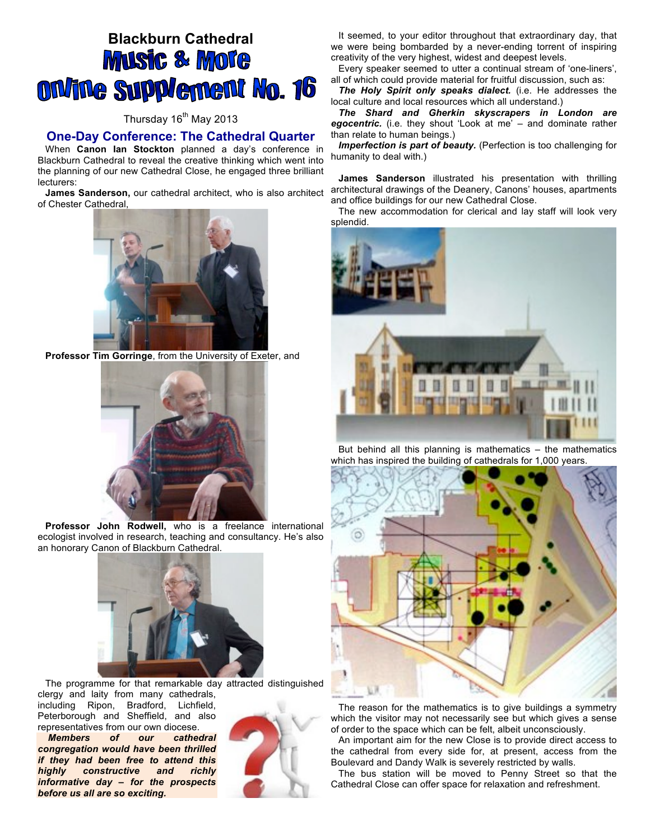# **Blackburn Cathedral Music & More ON/The Supplement No. 16**

## Thursday 16<sup>th</sup> May 2013

## **One-Day Conference: The Cathedral Quarter**

When **Canon Ian Stockton** planned a day's conference in Blackburn Cathedral to reveal the creative thinking which went into the planning of our new Cathedral Close, he engaged three brilliant lecturers:

**James Sanderson,** our cathedral architect, who is also architect of Chester Cathedral,



**Professor Tim Gorringe**, from the University of Exeter, and



**Professor John Rodwell,** who is a freelance international ecologist involved in research, teaching and consultancy. He's also an honorary Canon of Blackburn Cathedral.



The programme for that remarkable day attracted distinguished clergy and laity from many cathedrals,

including Ripon, Bradford, Lichfield, Peterborough and Sheffield, and also representatives from our own diocese.

*Members of our cathedral congregation would have been thrilled if they had been free to attend this highly constructive and richly informative day – for the prospects before us all are so exciting.*



It seemed, to your editor throughout that extraordinary day, that we were being bombarded by a never-ending torrent of inspiring creativity of the very highest, widest and deepest levels.

Every speaker seemed to utter a continual stream of 'one-liners', all of which could provide material for fruitful discussion, such as:

*The Holy Spirit only speaks dialect.* (i.e. He addresses the local culture and local resources which all understand.)

*The Shard and Gherkin skyscrapers in London are egocentric.* (i.e. they shout 'Look at me' – and dominate rather than relate to human beings.)

*Imperfection is part of beauty.* (Perfection is too challenging for humanity to deal with.)

**James Sanderson** illustrated his presentation with thrilling architectural drawings of the Deanery, Canons' houses, apartments and office buildings for our new Cathedral Close.

The new accommodation for clerical and lay staff will look very splendid.



But behind all this planning is mathematics – the mathematics which has inspired the building of cathedrals for 1,000 years.



The reason for the mathematics is to give buildings a symmetry which the visitor may not necessarily see but which gives a sense of order to the space which can be felt, albeit unconsciously.

An important aim for the new Close is to provide direct access to the cathedral from every side for, at present, access from the Boulevard and Dandy Walk is severely restricted by walls.

The bus station will be moved to Penny Street so that the Cathedral Close can offer space for relaxation and refreshment.